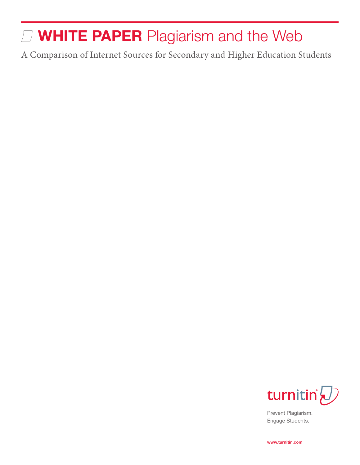# **WHITE PAPER** Plagiarism and the Web

A Comparison of Internet Sources for Secondary and Higher Education Students



Prevent Plagiarism. Engage Students.

**www.turnitin.com**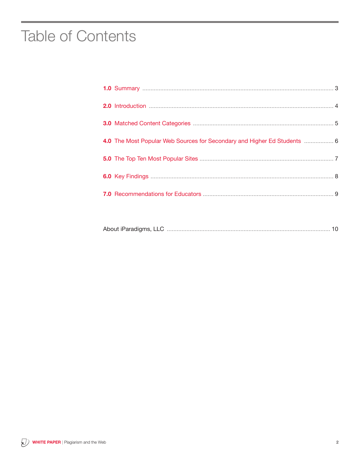### **Table of Contents**

| 4.0 The Most Popular Web Sources for Secondary and Higher Ed Students  6 |  |
|--------------------------------------------------------------------------|--|
|                                                                          |  |
|                                                                          |  |
|                                                                          |  |
|                                                                          |  |

|--|--|--|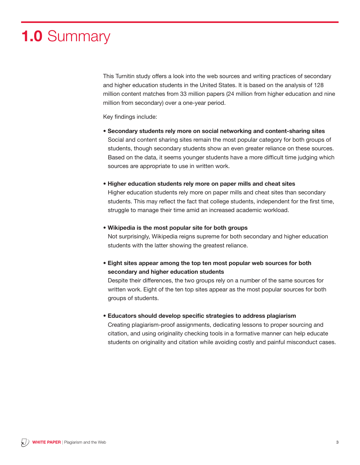# **1.0** Summary

This Turnitin study offers a look into the web sources and writing practices of secondary and higher education students in the United States. It is based on the analysis of 128 million content matches from 33 million papers (24 million from higher education and nine million from secondary) over a one-year period.

Key findings include:

- **Secondary students rely more on social networking and content-sharing sites** Social and content sharing sites remain the most popular category for both groups of students, though secondary students show an even greater reliance on these sources. Based on the data, it seems younger students have a more difficult time judging which sources are appropriate to use in written work.
- **Higher education students rely more on paper mills and cheat sites**

Higher education students rely more on paper mills and cheat sites than secondary students. This may reflect the fact that college students, independent for the first time, struggle to manage their time amid an increased academic workload.

**• Wikipedia is the most popular site for both groups**

Not surprisingly, Wikipedia reigns supreme for both secondary and higher education students with the latter showing the greatest reliance.

**• Eight sites appear among the top ten most popular web sources for both secondary and higher education students**

Despite their differences, the two groups rely on a number of the same sources for written work. Eight of the ten top sites appear as the most popular sources for both groups of students.

**• Educators should develop specific strategies to address plagiarism**

Creating plagiarism-proof assignments, dedicating lessons to proper sourcing and citation, and using originality checking tools in a formative manner can help educate students on originality and citation while avoiding costly and painful misconduct cases.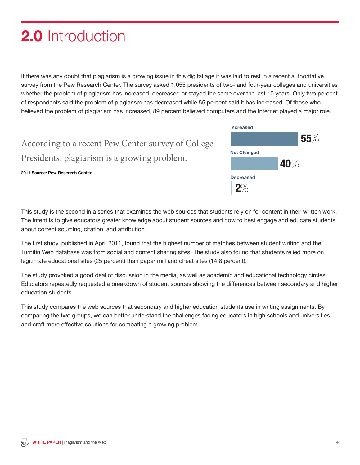# **2.0** Introduction

If there was any doubt that plagiarism is a growing issue in this digital age it was laid to rest in a recent authoritative survey from the Pew Research Center. The survey asked 1,055 presidents of two- and four-year colleges and universities whether the problem of plagiarism has increased, decreased or stayed the same over the last 10 years. Only two percent of respondents said the problem of plagiarism has decreased while 55 percent said it has increased. Of those who believed the problem of plagiarism has increased, 89 percent believed computers and the Internet played a major role.

| According to a recent Pew Center survey of College |
|----------------------------------------------------|
| Presidents, plagiarism is a growing problem.       |

**2011 Source: Pew Research Center**



**Increased** 

**Not Changed** 

55%

This study is the second in a series that examines the web sources that students rely on for content in their written work. The intent is to give educators greater knowledge about student sources and how to best engage and educate students about correct sourcing, citation, and attribution.

The first study, published in April 2011, found that the highest number of matches between student writing and the Turnitin Web database was from social and content sharing sites. The study also found that students relied more on legitimate educational sites (25 percent) than paper mill and cheat sites (14.8 percent).

The study provoked a good deal of discussion in the media, as well as academic and educational technology circles. Educators repeatedly requested a breakdown of student sources showing the differences between secondary and higher education students.

This study compares the web sources that secondary and higher education students use in writing assignments. By comparing the two groups, we can better understand the challenges facing educators in high schools and universities and craft more effective solutions for combating a growing problem.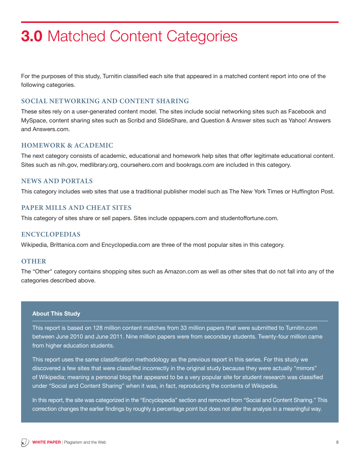## **3.0** Matched Content Categories

For the purposes of this study, Turnitin classified each site that appeared in a matched content report into one of the following categories.

### **Social Networking and Content Sharing**

These sites rely on a user-generated content model. The sites include social networking sites such as Facebook and MySpace, content sharing sites such as Scribd and SlideShare, and Question & Answer sites such as Yahoo! Answers and Answers.com.

### **Homework & Academic**

The next category consists of academic, educational and homework help sites that offer legitimate educational content. Sites such as nih.gov, medlibrary.org, coursehero.com and bookrags.com are included in this category.

### **News and Portals**

This category includes web sites that use a traditional publisher model such as The New York Times or Huffington Post.

#### **Paper Mills and Cheat Sites**

This category of sites share or sell papers. Sites include oppapers.com and studentoffortune.com.

#### **Encyclopedias**

Wikipedia, Brittanica.com and Encyclopedia.com are three of the most popular sites in this category.

#### **OTHER**

The "Other" category contains shopping sites such as Amazon.com as well as other sites that do not fall into any of the categories described above.

#### **About This Study**

This report is based on 128 million content matches from 33 million papers that were submitted to Turnitin.com between June 2010 and June 2011. Nine million papers were from secondary students. Twenty-four million came from higher education students.

This report uses the same classification methodology as the previous report in this series. For this study we discovered a few sites that were classified incorrectly in the original study because they were actually "mirrors" of Wikipedia; meaning a personal blog that appeared to be a very popular site for student research was classified under "Social and Content Sharing" when it was, in fact, reproducing the contents of Wikipedia.

In this report, the site was categorized in the "Encyclopedia" section and removed from "Social and Content Sharing." This correction changes the earlier findings by roughly a percentage point but does not alter the analysis in a meaningful way.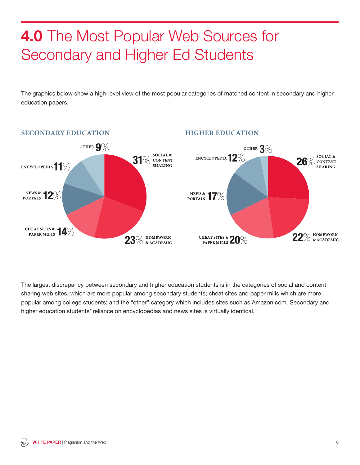# **4.0** The Most Popular Web Sources for Secondary and Higher Ed Students

The graphics below show a high-level view of the most popular categories of matched content in secondary and higher education papers.



The largest discrepancy between secondary and higher education students is in the categories of social and content sharing web sites, which are more popular among secondary students; cheat sites and paper mills which are more popular among college students; and the "other" category which includes sites such as Amazon.com. Secondary and higher education students' reliance on encyclopedias and news sites is virtually identical.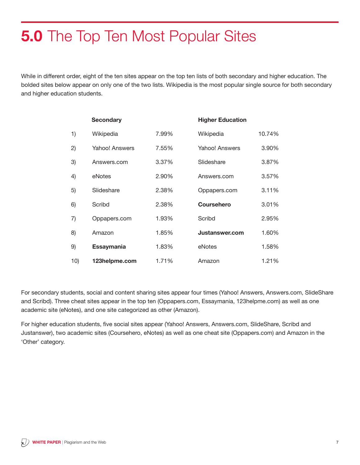# **5.0** The Top Ten Most Popular Sites

While in different order, eight of the ten sites appear on the top ten lists of both secondary and higher education. The bolded sites below appear on only one of the two lists. Wikipedia is the most popular single source for both secondary and higher education students.

|     | <b>Secondary</b>  |       | <b>Higher Education</b> |        |
|-----|-------------------|-------|-------------------------|--------|
| 1)  | Wikipedia         | 7.99% | Wikipedia               | 10.74% |
| 2)  | Yahoo! Answers    | 7.55% | Yahoo! Answers          | 3.90%  |
| 3)  | Answers.com       | 3.37% | Slideshare              | 3.87%  |
| 4)  | eNotes            | 2.90% | Answers.com             | 3.57%  |
| 5)  | Slideshare        | 2.38% | Oppapers.com            | 3.11%  |
| 6)  | Scribd            | 2.38% | <b>Coursehero</b>       | 3.01%  |
| 7)  | Oppapers.com      | 1.93% | Scribd                  | 2.95%  |
| 8)  | Amazon            | 1.85% | Justanswer.com          | 1.60%  |
| 9)  | <b>Essaymania</b> | 1.83% | eNotes                  | 1.58%  |
| 10) | 123helpme.com     | 1.71% | Amazon                  | 1.21%  |

For secondary students, social and content sharing sites appear four times (Yahoo! Answers, Answers.com, SlideShare and Scribd). Three cheat sites appear in the top ten (Oppapers.com, Essaymania, 123helpme.com) as well as one academic site (eNotes), and one site categorized as other (Amazon).

For higher education students, five social sites appear (Yahoo! Answers, Answers.com, SlideShare, Scribd and Justanswer), two academic sites (Coursehero, eNotes) as well as one cheat site (Oppapers.com) and Amazon in the 'Other' category.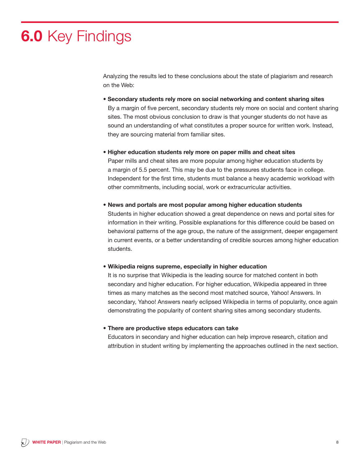# **6.0** Key Findings

Analyzing the results led to these conclusions about the state of plagiarism and research on the Web:

**• Secondary students rely more on social networking and content sharing sites** By a margin of five percent, secondary students rely more on social and content sharing sites. The most obvious conclusion to draw is that younger students do not have as sound an understanding of what constitutes a proper source for written work. Instead, they are sourcing material from familiar sites.

**• Higher education students rely more on paper mills and cheat sites**

Paper mills and cheat sites are more popular among higher education students by a margin of 5.5 percent. This may be due to the pressures students face in college. Independent for the first time, students must balance a heavy academic workload with other commitments, including social, work or extracurricular activities.

#### **• News and portals are most popular among higher education students**

Students in higher education showed a great dependence on news and portal sites for information in their writing. Possible explanations for this difference could be based on behavioral patterns of the age group, the nature of the assignment, deeper engagement in current events, or a better understanding of credible sources among higher education students.

#### **• Wikipedia reigns supreme, especially in higher education**

It is no surprise that Wikipedia is the leading source for matched content in both secondary and higher education. For higher education, Wikipedia appeared in three times as many matches as the second most matched source, Yahoo! Answers. In secondary, Yahoo! Answers nearly eclipsed Wikipedia in terms of popularity, once again demonstrating the popularity of content sharing sites among secondary students.

#### **• There are productive steps educators can take**

Educators in secondary and higher education can help improve research, citation and attribution in student writing by implementing the approaches outlined in the next section.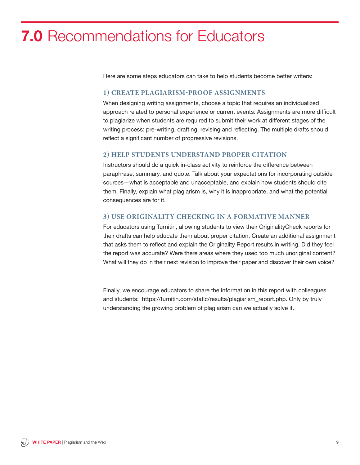### **7.0** Recommendations for Educators

Here are some steps educators can take to help students become better writers:

#### **1) Create Plagiarism-Proof Assignments**

When designing writing assignments, choose a topic that requires an individualized approach related to personal experience or current events. Assignments are more difficult to plagiarize when students are required to submit their work at different stages of the writing process: pre-writing, drafting, revising and reflecting. The multiple drafts should reflect a significant number of progressive revisions.

#### **2) Help Students Understand Proper Citation**

Instructors should do a quick in-class activity to reinforce the difference between paraphrase, summary, and quote. Talk about your expectations for incorporating outside sources—what is acceptable and unacceptable, and explain how students should cite them. Finally, explain what plagiarism is, why it is inappropriate, and what the potential consequences are for it.

#### **3) Use Originality Checking in a Formative Manner**

For educators using Turnitin, allowing students to view their OriginalityCheck reports for their drafts can help educate them about proper citation. Create an additional assignment that asks them to reflect and explain the Originality Report results in writing. Did they feel the report was accurate? Were there areas where they used too much unoriginal content? What will they do in their next revision to improve their paper and discover their own voice?

Finally, we encourage educators to share the information in this report with colleagues and students: https://turnitin.com/static/results/plagiarism\_report.php. Only by truly understanding the growing problem of plagiarism can we actually solve it.